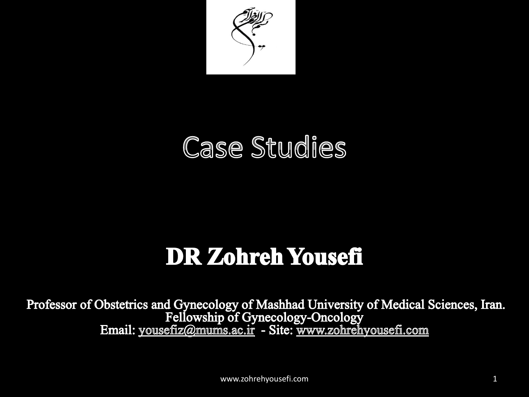

### **Case Studies**

### **DR Zohreh Yousefi**

Professor of Obstetrics and Gynecology of Mashhad University of Medical Sciences, Iran. Fellowship of Gynecology-Oncology<br>Email: yousefiz@mums.ac.ir - Site: www.zohrehyousefi.com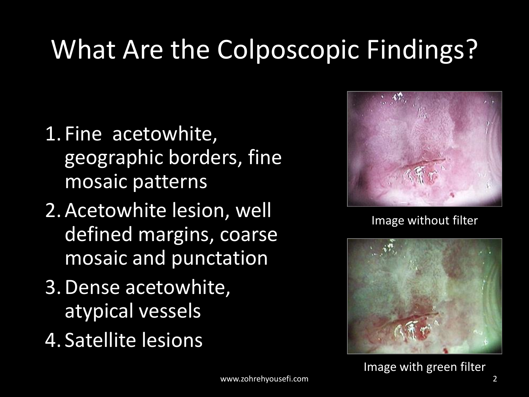## What Are the Colposcopic Findings?

- 1. Fine acetowhite, geographic borders, fine mosaic patterns
- 2.Acetowhite lesion, well defined margins, coarse mosaic and punctation
- 3.Dense acetowhite, atypical vessels
- 4. Satellite lesions



Image without filter

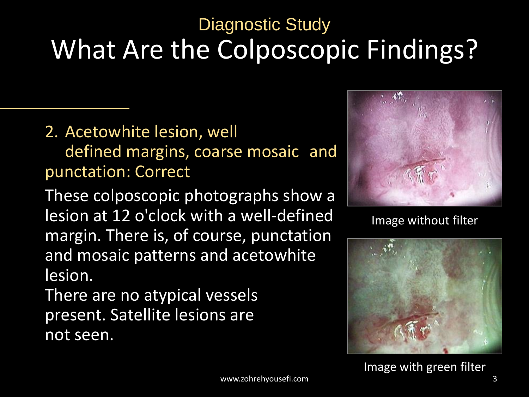### What Are the Colposcopic Findings? Diagnostic Study

#### 2. Acetowhite lesion, well

defined margins, coarse mosaic and punctation: Correct

These colposcopic photographs show a lesion at 12 o'clock with a well-defined margin. There is, of course, punctation and mosaic patterns and acetowhite lesion.

There are no atypical vessels present. Satellite lesions are not seen.



Image without filter

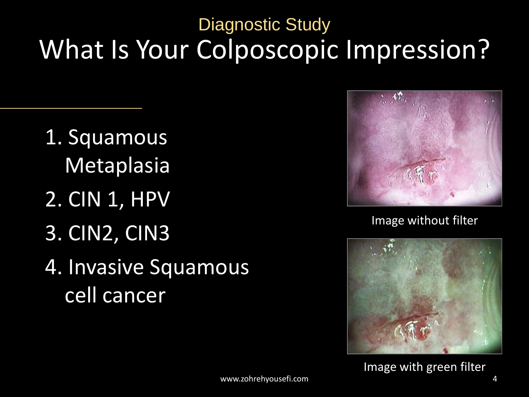### What Is Your Colposcopic Impression? Diagnostic Study

1. Squamous Metaplasia 2. CIN 1, HPV 3. CIN2, CIN3 4. Invasive Squamous cell cancer



Image without filter

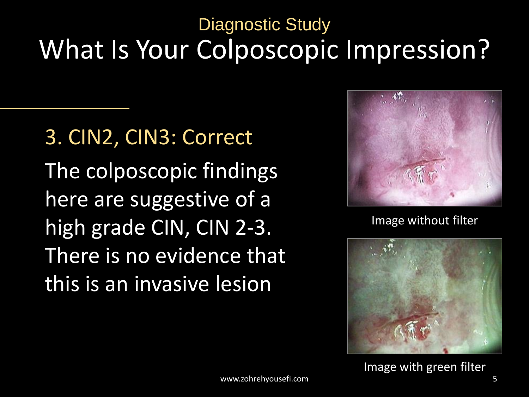#### What Is Your Colposcopic Impression? Diagnostic Study

3. CIN2, CIN3: Correct The colposcopic findings here are suggestive of a high grade CIN, CIN 2-3. There is no evidence that this is an invasive lesion



Image without filter

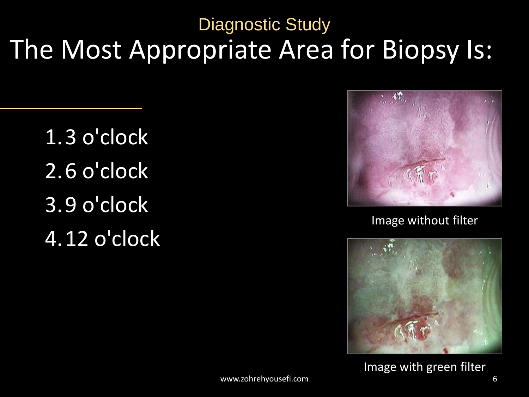The Most Appropriate Area for Biopsy Is: Diagnostic Study

1.3 o'clock 2.6 o'clock 3.9 o'clock 4.12 o'clock



Image without filter

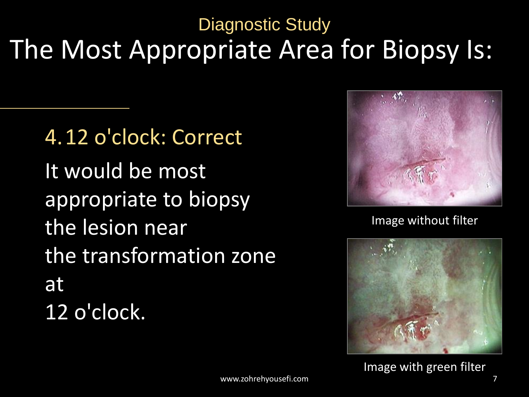#### The Most Appropriate Area for Biopsy Is: Diagnostic Study

4.12 o'clock: Correct It would be most appropriate to biopsy the lesion near the transformation zone at 12 o'clock.



Image without filter

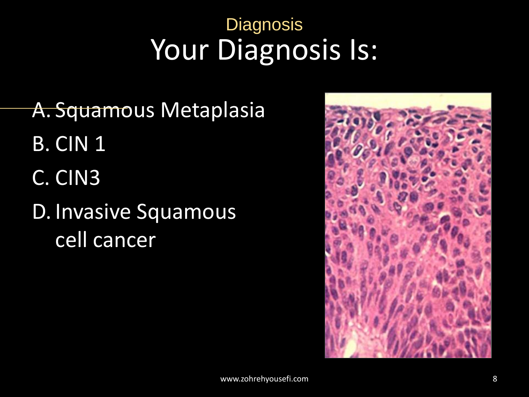### Your Diagnosis Is: **Diagnosis**

A. Squamous Metaplasia B. CIN 1 C. CIN3 D. Invasive Squamous cell cancer

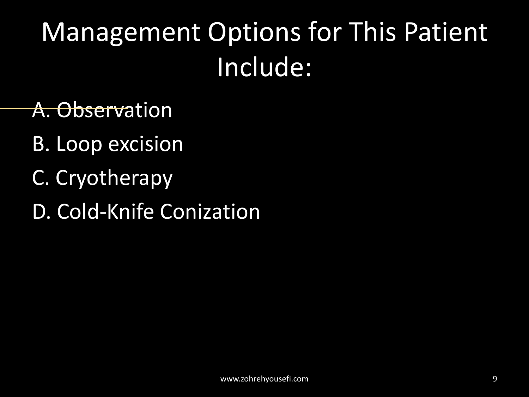# Management Options for This Patient Include:

#### A. Observation

- B. Loop excision
- C. Cryotherapy
- D. Cold-Knife Conization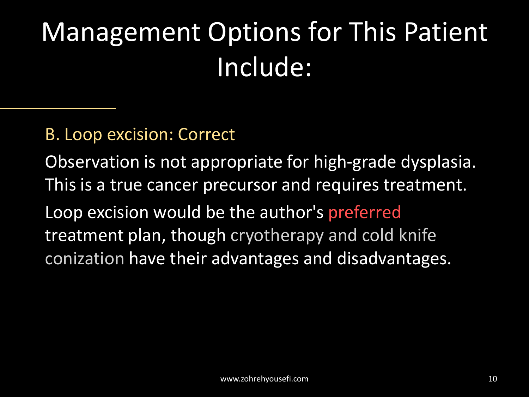# Management Options for This Patient Include:

#### B. Loop excision: Correct

Observation is not appropriate for high-grade dysplasia. This is a true cancer precursor and requires treatment. Loop excision would be the author's preferred treatment plan, though cryotherapy and cold knife conization have their advantages and disadvantages.